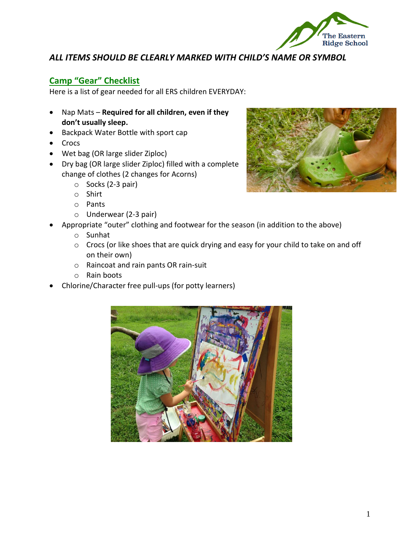

## *ALL ITEMS SHOULD BE CLEARLY MARKED WITH CHILD'S NAME OR SYMBOL*

### **Camp "Gear" Checklist**

Here is a list of gear needed for all ERS children EVERYDAY:

- Nap Mats **Required for all children, even if they don't usually sleep.**
- Backpack Water Bottle with sport cap
- Crocs
- Wet bag (OR large slider Ziploc)
- Dry bag (OR large slider Ziploc) filled with a complete change of clothes (2 changes for Acorns)
	- o Socks (2-3 pair)
	- o Shirt
	- o Pants
	- o Underwear (2-3 pair)
	- Appropriate "outer" clothing and footwear for the season (in addition to the above)
		- o Sunhat
		- o Crocs (or like shoes that are quick drying and easy for your child to take on and off on their own)
		- o Raincoat and rain pants OR rain-suit
		- o Rain boots
- Chlorine/Character free pull-ups (for potty learners)



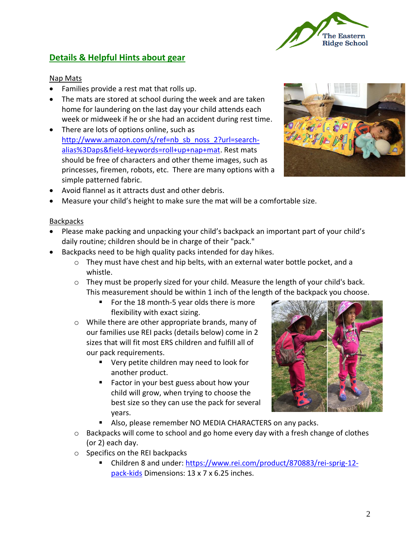# **Details & Helpful Hints about gear**

## Nap Mats

- Families provide a rest mat that rolls up.
- The mats are stored at school during the week and are taken home for laundering on the last day your child attends each week or midweek if he or she had an accident during rest time.
- There are lots of options online, such as [http://www.amazon.com/s/ref=nb\\_sb\\_noss\\_2?url=search](http://www.amazon.com/s/ref=nb_sb_noss_2?url=search-alias%3Daps&field-keywords=roll+up+nap+mat)[alias%3Daps&field-keywords=roll+up+nap+mat.](http://www.amazon.com/s/ref=nb_sb_noss_2?url=search-alias%3Daps&field-keywords=roll+up+nap+mat) Rest mats should be free of characters and other theme images, such as princesses, firemen, robots, etc. There are many options with a simple patterned fabric.
- Avoid flannel as it attracts dust and other debris.
- Measure your child's height to make sure the mat will be a comfortable size.

## **Backpacks**

- Please make packing and unpacking your child's backpack an important part of your child's daily routine; children should be in charge of their "pack."
- Backpacks need to be high quality packs intended for day hikes.
	- $\circ$  They must have chest and hip belts, with an external water bottle pocket, and a whistle.
	- o They must be properly sized for your child. Measure the length of your child's back. This measurement should be within 1 inch of the length of the backpack you choose.
		- For the 18 month-5 year olds there is more flexibility with exact sizing.
	- o While there are other appropriate brands, many of our families use REI packs (details below) come in 2 sizes that will fit most ERS children and fulfill all of our pack requirements.
		- Very petite children may need to look for another product.
		- Factor in your best guess about how your child will grow, when trying to choose the best size so they can use the pack for several years.
		- Also, please remember NO MEDIA CHARACTERS on any packs.
	- $\circ$  Backpacks will come to school and go home every day with a fresh change of clothes (or 2) each day.
	- o Specifics on the REI backpacks
		- Children 8 and under: [https://www.rei.com/product/870883/rei-sprig-12](https://www.rei.com/product/870883/rei-sprig-12-pack-kids) [pack-kids](https://www.rei.com/product/870883/rei-sprig-12-pack-kids) Dimensions: 13 x 7 x 6.25 inches.





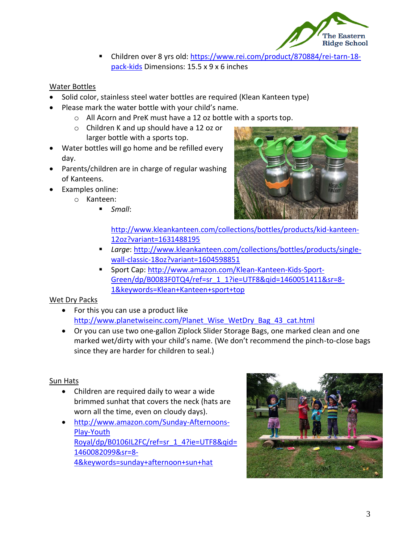

■ Children over 8 yrs old: [https://www.rei.com/product/870884/rei-tarn-18](https://www.rei.com/product/870884/rei-tarn-18-pack-kids) [pack-kids](https://www.rei.com/product/870884/rei-tarn-18-pack-kids) Dimensions: 15.5 x 9 x 6 inches

#### Water Bottles

- Solid color, stainless steel water bottles are required (Klean Kanteen type)
- Please mark the water bottle with your child's name.
	- o All Acorn and PreK must have a 12 oz bottle with a [sports top.](http://www.kleankanteen.com/products/accessories/klean-kanteen-caps-classic-sport.php)
	- o Children K and up should have a 12 oz or larger bottle with a sports top.
- Water bottles will go home and be refilled every day.
- Parents/children are in charge of regular washing of Kanteens.
- Examples online:
	- o Kanteen:
		- *Small*:



[http://www.kleankanteen.com/collections/bottles/products/kid-kanteen-](http://www.kleankanteen.com/collections/bottles/products/kid-kanteen-12oz?variant=1631488195)[12oz?variant=1631488195](http://www.kleankanteen.com/collections/bottles/products/kid-kanteen-12oz?variant=1631488195)

- *Large*: [http://www.kleankanteen.com/collections/bottles/products/single](http://www.kleankanteen.com/collections/bottles/products/single-wall-classic-18oz?variant=1604598851)[wall-classic-18oz?variant=1604598851](http://www.kleankanteen.com/collections/bottles/products/single-wall-classic-18oz?variant=1604598851)
- Sport Cap: [http://www.amazon.com/Klean-Kanteen-Kids-Sport-](http://www.amazon.com/Klean-Kanteen-Kids-Sport-Green/dp/B0083F0TQ4/ref=sr_1_1?ie=UTF8&qid=1460051411&sr=8-1&keywords=Klean+Kanteen+sport+top)[Green/dp/B0083F0TQ4/ref=sr\\_1\\_1?ie=UTF8&qid=1460051411&sr=8-](http://www.amazon.com/Klean-Kanteen-Kids-Sport-Green/dp/B0083F0TQ4/ref=sr_1_1?ie=UTF8&qid=1460051411&sr=8-1&keywords=Klean+Kanteen+sport+top) [1&keywords=Klean+Kanteen+sport+top](http://www.amazon.com/Klean-Kanteen-Kids-Sport-Green/dp/B0083F0TQ4/ref=sr_1_1?ie=UTF8&qid=1460051411&sr=8-1&keywords=Klean+Kanteen+sport+top)

#### Wet Dry Packs

- For this you can use a product like [http://www.planetwiseinc.com/Planet\\_Wise\\_WetDry\\_Bag\\_43\\_cat.html](http://www.planetwiseinc.com/Planet_Wise_WetDry_Bag_43_cat.html)
- Or you can use two one-gallon Ziplock Slider Storage Bags, one marked clean and one marked wet/dirty with your child's name. (We don't recommend the pinch-to-close bags since they are harder for children to seal.)

#### Sun Hats

- Children are required daily to wear a wide brimmed sunhat that covers the neck (hats are worn all the time, even on cloudy days).
- [http://www.amazon.com/Sunday-Afternoons-](http://www.amazon.com/Sunday-Afternoons-Play-Youth%20Royal/dp/B0106IL2FC/ref=sr_1_4?ie=UTF8&qid=1460082099&sr=8-4&keywords=sunday+afternoon+sun+hat)[Play-Youth](http://www.amazon.com/Sunday-Afternoons-Play-Youth%20Royal/dp/B0106IL2FC/ref=sr_1_4?ie=UTF8&qid=1460082099&sr=8-4&keywords=sunday+afternoon+sun+hat)  [Royal/dp/B0106IL2FC/ref=sr\\_1\\_4?ie=UTF8&qid=](http://www.amazon.com/Sunday-Afternoons-Play-Youth%20Royal/dp/B0106IL2FC/ref=sr_1_4?ie=UTF8&qid=1460082099&sr=8-4&keywords=sunday+afternoon+sun+hat) [1460082099&sr=8-](http://www.amazon.com/Sunday-Afternoons-Play-Youth%20Royal/dp/B0106IL2FC/ref=sr_1_4?ie=UTF8&qid=1460082099&sr=8-4&keywords=sunday+afternoon+sun+hat) [4&keywords=sunday+afternoon+sun+hat](http://www.amazon.com/Sunday-Afternoons-Play-Youth%20Royal/dp/B0106IL2FC/ref=sr_1_4?ie=UTF8&qid=1460082099&sr=8-4&keywords=sunday+afternoon+sun+hat)